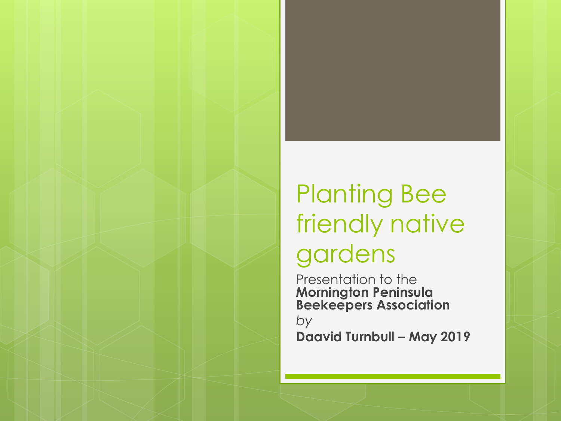#### Planting Bee friendly native gardens

Presentation to the **Mornington Peninsula Beekeepers Association**

*by* **Daavid Turnbull – May 2019**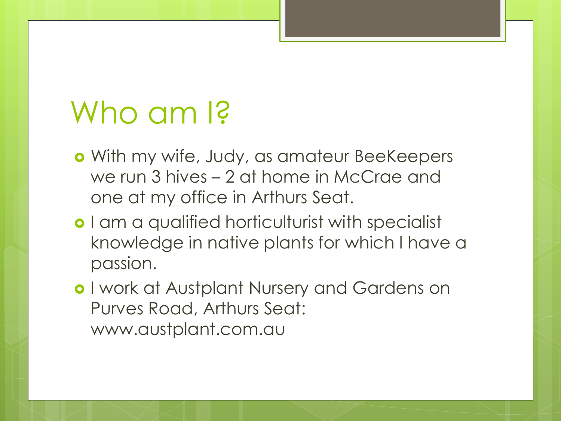## Who am <sub>13</sub>

- With my wife, Judy, as amateur BeeKeepers we run 3 hives – 2 at home in McCrae and one at my office in Arthurs Seat.
- **o** I am a qualified horticulturist with specialist knowledge in native plants for which I have a passion.
- o I work at Austplant Nursery and Gardens on Purves Road, Arthurs Seat: www.austplant.com.au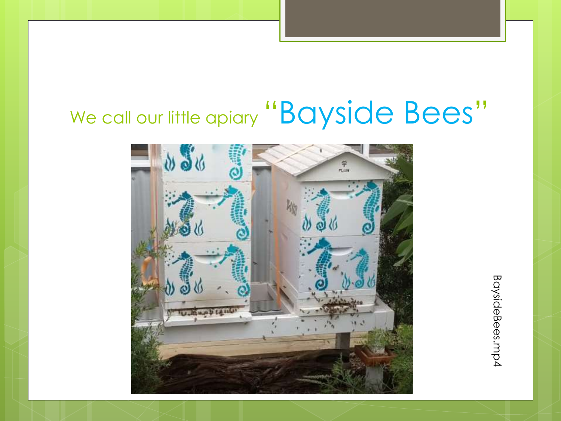#### We call our little apiary "Bayside Bees"



BaysideBees.mp4 BaysideBees.mp4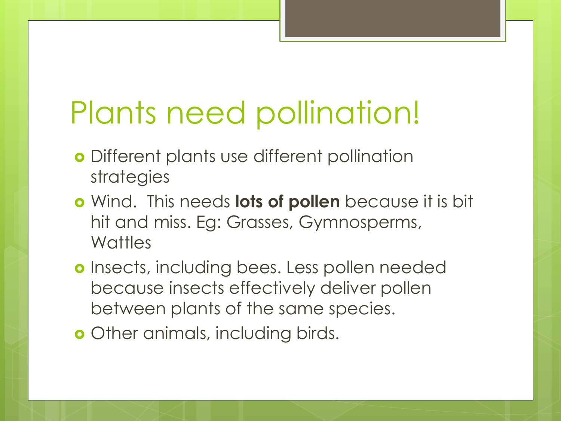# Plants need pollination!

- **o** Different plants use different pollination strategies
- Wind. This needs **lots of pollen** because it is bit hit and miss. Eg: Grasses, Gymnosperms, **Wattles**
- **o** Insects, including bees. Less pollen needed because insects effectively deliver pollen between plants of the same species.
- **o** Other animals, including birds.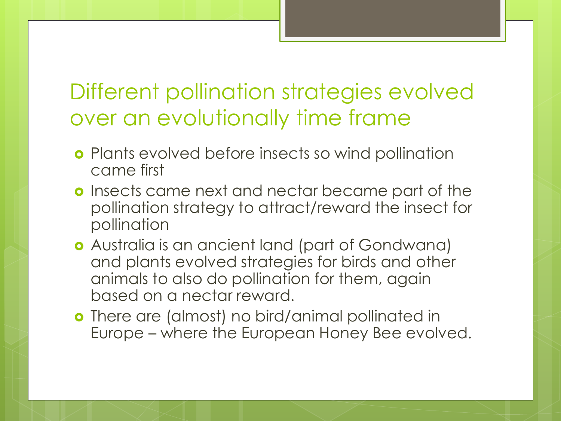#### Different pollination strategies evolved over an evolutionally time frame

- **o** Plants evolved before insects so wind pollination came first
- **o** Insects came next and nectar became part of the pollination strategy to attract/reward the insect for pollination
- Australia is an ancient land (part of Gondwana) and plants evolved strategies for birds and other animals to also do pollination for them, again based on a nectar reward.
- **o** There are (almost) no bird/animal pollinated in Europe – where the European Honey Bee evolved.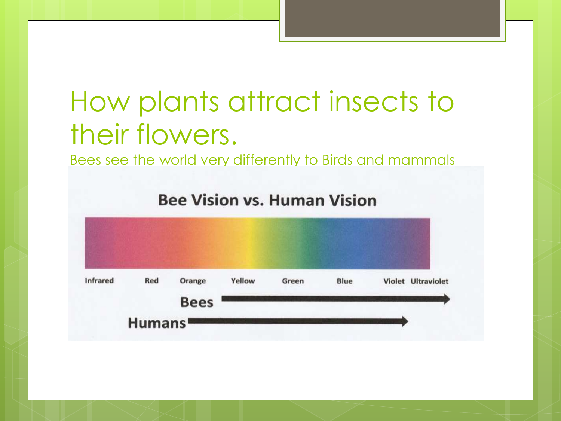#### How plants attract insects to their flowers.

Bees see the world very differently to Birds and mammals

**Bee Vision vs. Human Vision** 

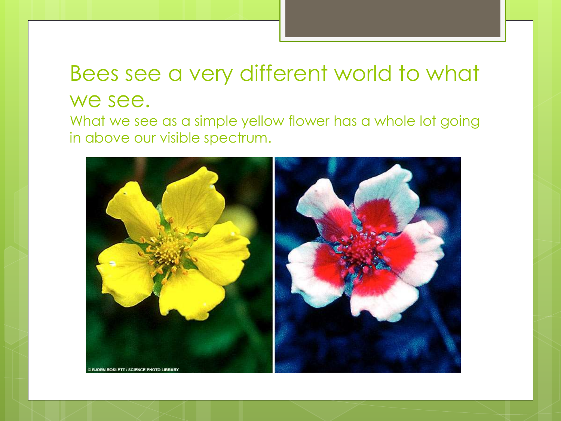#### Bees see a very different world to what we see.

What we see as a simple yellow flower has a whole lot going in above our visible spectrum.

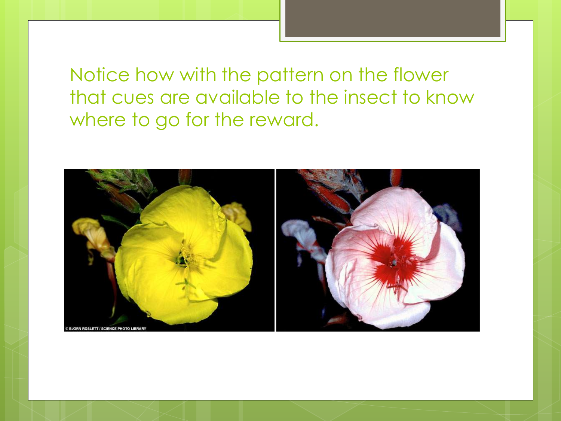Notice how with the pattern on the flower that cues are available to the insect to know where to go for the reward.

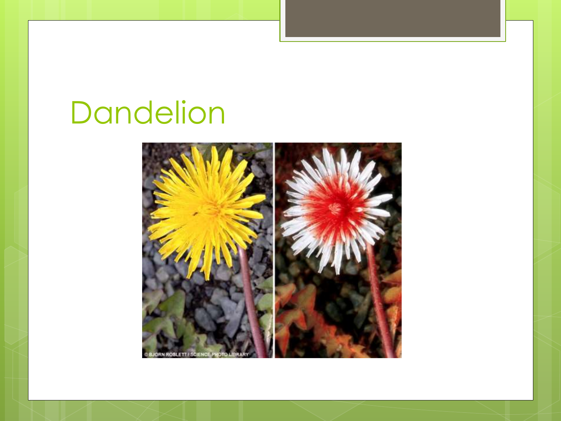# Dandelion

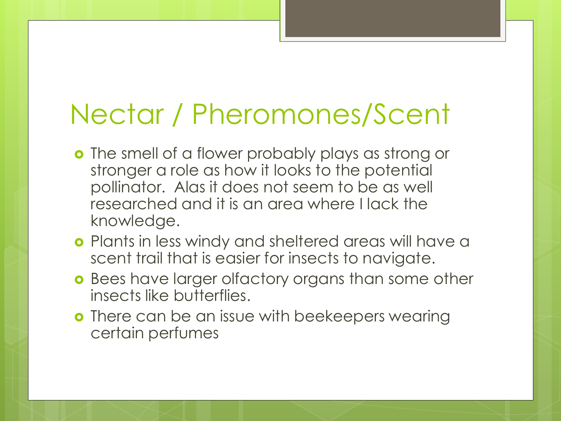#### Nectar / Pheromones/Scent

- **o** The smell of a flower probably plays as strong or stronger a role as how it looks to the potential pollinator. Alas it does not seem to be as well researched and it is an area where I lack the knowledge.
- **o** Plants in less windy and sheltered areas will have a scent trail that is easier for insects to navigate.
- **o** Bees have larger olfactory organs than some other insects like butterflies.
- **o** There can be an issue with beekeepers wearing certain perfumes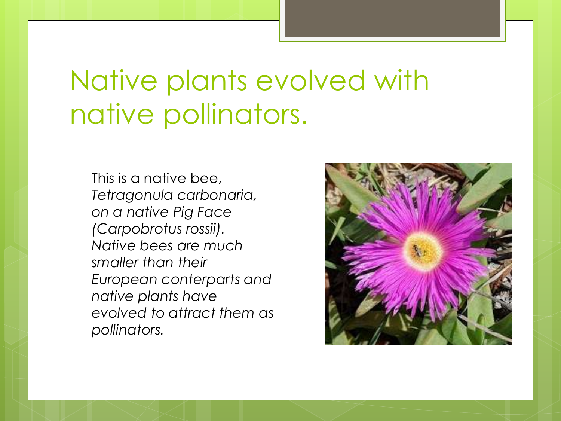#### Native plants evolved with native pollinators.

This is a native bee, *Tetragonula carbonaria, on a native Pig Face (Carpobrotus rossii). Native bees are much smaller than their European conterparts and native plants have evolved to attract them as pollinators.* 

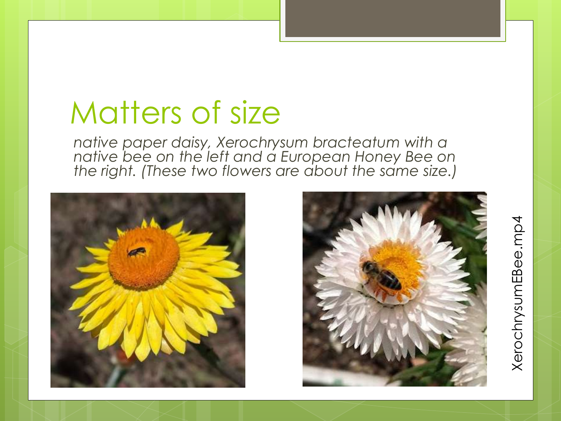# Matters of size

*native paper daisy, Xerochrysum bracteatum with a native bee on the left and a European Honey Bee on the right. (These two flowers are about the same size.)*



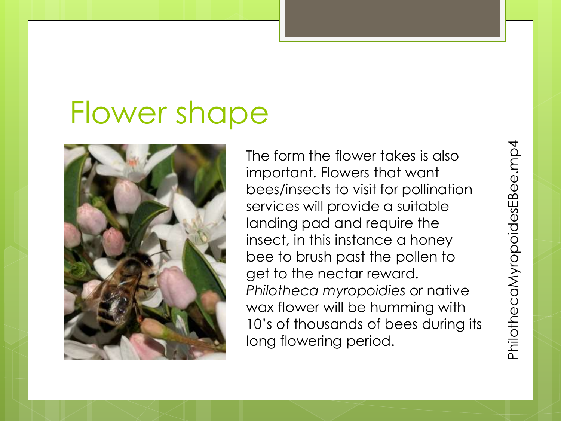# Flower shape



The form the flower takes is also important. Flowers that want bees/insects to visit for pollination services will provide a suitable landing pad and require the insect, in this instance a honey bee to brush past the pollen to get to the nectar reward. *Philotheca myropoidies* or native wax flower will be humming with 10's of thousands of bees during its long flowering period.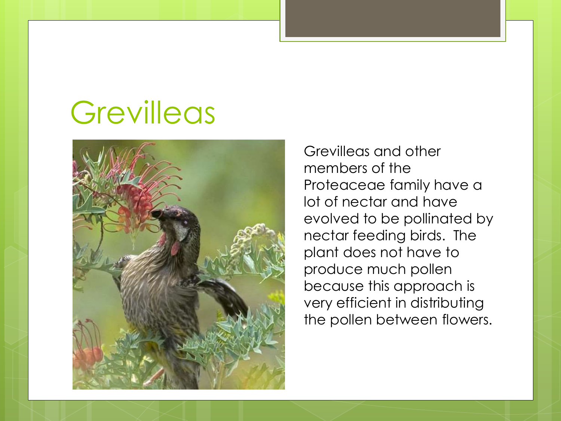## **Grevilleas**



Grevilleas and other members of the Proteaceae family have a lot of nectar and have evolved to be pollinated by nectar feeding birds. The plant does not have to produce much pollen because this approach is very efficient in distributing the pollen between flowers.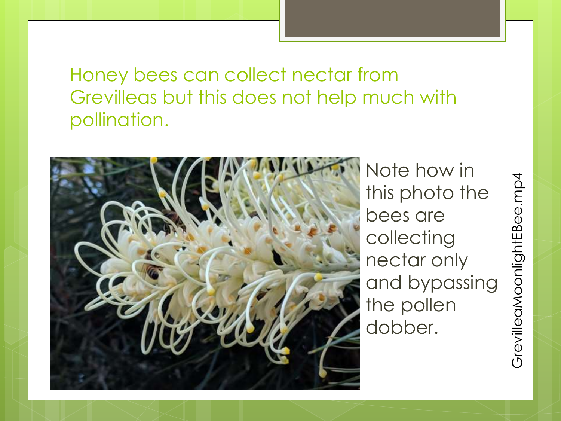Honey bees can collect nectar from Grevilleas but this does not help much with pollination.



Note how in this photo the bees are collecting nectar only and bypassing the pollen dobber.

GrevilleaMoonlightEBee.mp4GrevilleaMoonlightEBee.mp4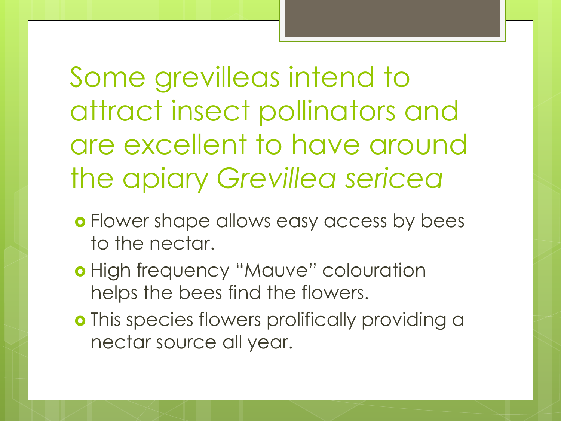Some grevilleas intend to attract insect pollinators and are excellent to have around the apiary *Grevillea sericea*

- **o** Flower shape allows easy access by bees to the nectar.
- o High frequency "Mauve" colouration helps the bees find the flowers.
- o This species flowers prolifically providing a nectar source all year.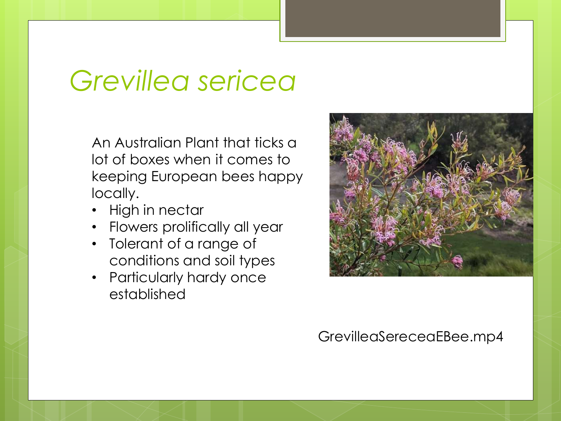#### *Grevillea sericea*

An Australian Plant that ticks a lot of boxes when it comes to keeping European bees happy locally.

- High in nectar
- Flowers prolifically all year
- Tolerant of a range of conditions and soil types
- Particularly hardy once established



#### GrevilleaSereceaEBee.mp4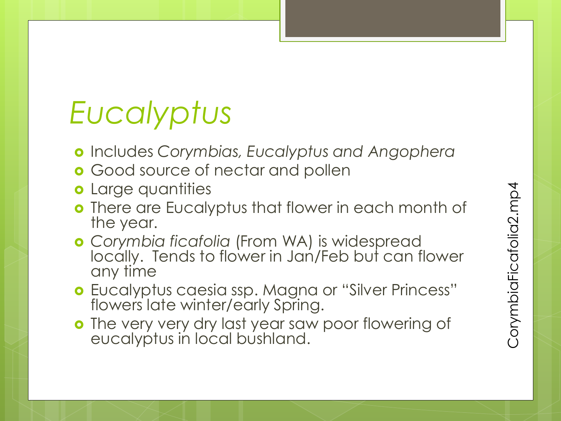# *Eucalyptus*

- Includes *Corymbias, Eucalyptus and Angophera*
- **o** Good source of nectar and pollen
- **o** Large quantities
- **o** There are Eucalyptus that flower in each month of the year.
- *Corymbia ficafolia* (From WA) is widespread locally. Tends to flower in Jan/Feb but can flower any time
- Eucalyptus caesia ssp. Magna or "Silver Princess" flowers late winter/early Spring.
- o The very very dry last year saw poor flowering of eucalyptus in local bushland.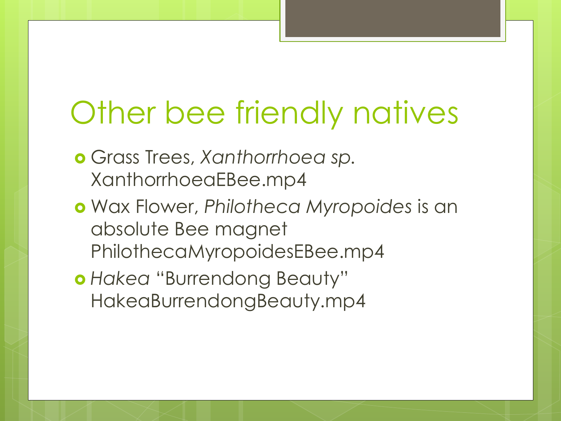# Other bee friendly natives

- Grass Trees, *Xanthorrhoea sp.* XanthorrhoeaEBee.mp4
- Wax Flower, *Philotheca Myropoides* is an absolute Bee magnet PhilothecaMyropoidesEBee.mp4
- *Hakea* "Burrendong Beauty" HakeaBurrendongBeauty.mp4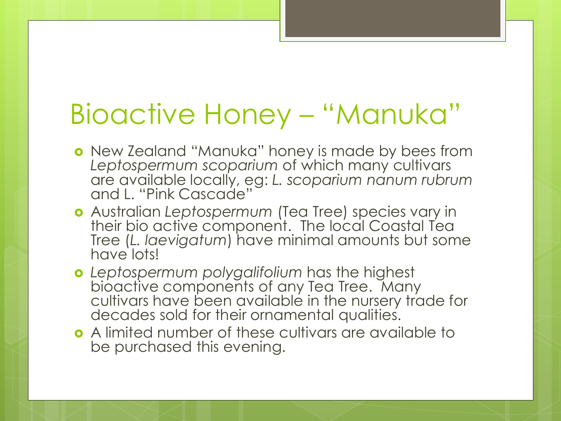#### Bioactive Honey – "Manuka"

- New Zealand "Manuka" honey is made by bees from *Leptospermum scoparium* of which many cultivars are available locally, eg: *L. scoparium nanum rubrum* and L. "Pink Cascade"
- Australian *Leptospermum* (Tea Tree) species vary in their bio active component. The local Coastal Tea Tree (*L. laevigatum*) have minimal amounts but some have lots!
- *Leptospermum polygalifolium* has the highest bioactive components of any Tea Tree. Many cultivars have been available in the nursery trade for decades sold for their ornamental qualities.
- A limited number of these cultivars are available to be purchased this evening.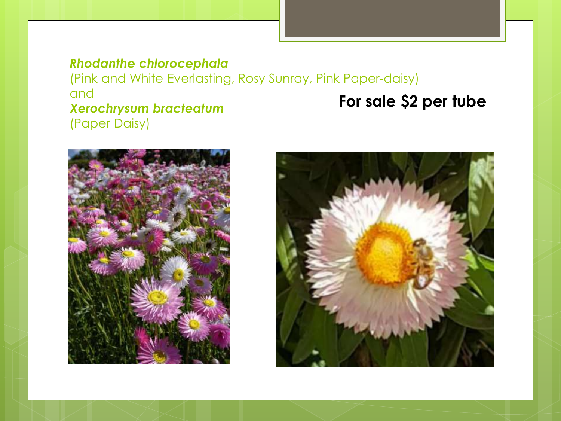#### *Rhodanthe chlorocephala*

(Pink and White Everlasting, Rosy Sunray, Pink Paper-daisy) and *Xerochrysum bracteatum* (Paper Daisy) **For sale \$2 per tube**